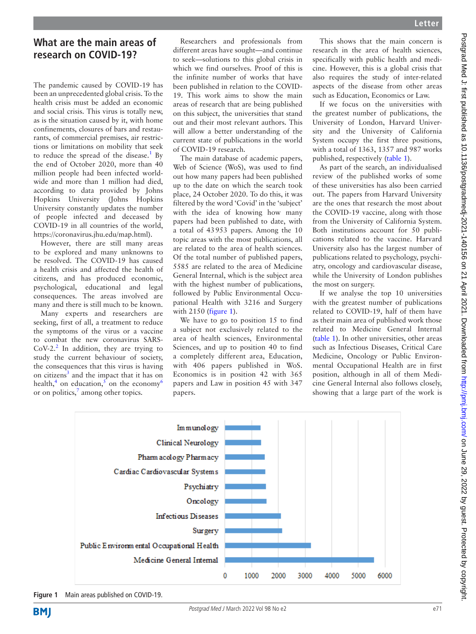# **What are the main areas of research on COVID-19?**

The pandemic caused by COVID-19 has been an unprecedented global crisis. To the health crisis must be added an economic and social crisis. This virus is totally new, as is the situation caused by it, with home confinements, closures of bars and restaurants, of commercial premises, air restrictions or limitations on mobility that seek to reduce the spread of the disease.<sup>[1](#page-2-0)</sup> By the end of October 2020, more than 40 million people had been infected worldwide and more than 1 million had died, according to data provided by Johns Hopkins University (Johns Hopkins University constantly updates the number of people infected and deceased by COVID-19 in all countries of the world, <https://coronavirus.jhu.edu/map.html>).

However, there are still many areas to be explored and many unknowns to be resolved. The COVID-19 has caused a health crisis and affected the health of citizens, and has produced economic, psychological, educational and legal consequences. The areas involved are many and there is still much to be known.

Many experts and researchers are seeking, first of all, a treatment to reduce the symptoms of the virus or a vaccine to combat the new coronavirus SARS-CoV-[2](#page-2-1). $^2$  In addition, they are trying to study the current behaviour of society, the consequences that this virus is having on citizens<sup>3</sup> and the impact that it has on health,<sup>4</sup> on education,<sup>5</sup> on the economy<sup>[6](#page-2-5)</sup> or on politics,<sup>[7](#page-2-6)</sup> among other topics.

Researchers and professionals from different areas have sought—and continue to seek—solutions to this global crisis in which we find ourselves. Proof of this is the infinite number of works that have been published in relation to the COVID-19. This work aims to show the main areas of research that are being published on this subject, the universities that stand out and their most relevant authors. This will allow a better understanding of the current state of publications in the world of COVID-19 research.

The main database of academic papers, Web of Science (WoS), was used to find out how many papers had been published up to the date on which the search took place, 24 October 2020. To do this, it was filtered by the word 'Covid' in the 'subject' with the idea of knowing how many papers had been published to date, with a total of 43953 papers. Among the 10 topic areas with the most publications, all are related to the area of health sciences. Of the total number of published papers, 5585 are related to the area of Medicine General Internal, which is the subject area with the highest number of publications, followed by Public Environmental Occupational Health with 3216 and Surgery with 2150 (*[figure](#page-0-0) 1*).

We have to go to position 15 to find a subject not exclusively related to the area of health sciences, Environmental Sciences, and up to position 40 to find a completely different area, Education, with 406 papers published in WoS. Economics is in position 42 with 365 papers and Law in position 45 with 347 papers.

This shows that the main concern is research in the area of health sciences, specifically with public health and medicine. However, this is a global crisis that also requires the study of inter-related aspects of the disease from other areas such as Education, Economics or Law.

If we focus on the universities with the greatest number of publications, the University of London, Harvard University and the University of California System occupy the first three positions, with a total of 1363, 1357 and 987 works published, respectively ([table](#page-1-0) 1).

As part of the search, an individualised review of the published works of some of these universities has also been carried out. The papers from Harvard University are the ones that research the most about the COVID-19 vaccine, along with those from the University of California System. Both institutions account for 50 publications related to the vaccine. Harvard University also has the largest number of publications related to psychology, psychiatry, oncology and cardiovascular disease, while the University of London publishes the most on surgery.

If we analyse the top 10 universities with the greatest number of publications related to COVID-19, half of them have as their main area of published work those related to Medicine General Internal [\(table](#page-1-0) 1). In other universities, other areas such as Infectious Diseases, Critical Care Medicine, Oncology or Public Environmental Occupational Health are in first position, although in all of them Medicine General Internal also follows closely, showing that a large part of the work is



<span id="page-0-0"></span>**Figure 1** Main areas published on COVID-19.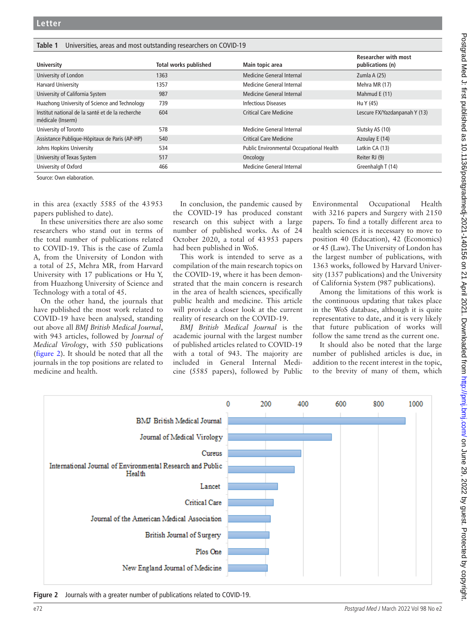### <span id="page-1-0"></span>**Table 1** Universities, areas and most outstanding researchers on COVID-19

| <b>University</b>                                                     | <b>Total works published</b> | Main topic area                          | <b>Researcher with most</b><br>publications (n) |
|-----------------------------------------------------------------------|------------------------------|------------------------------------------|-------------------------------------------------|
| University of London                                                  | 1363                         | Medicine General Internal                | Zumla A (25)                                    |
| <b>Harvard University</b>                                             | 1357                         | Medicine General Internal                | Mehra MR (17)                                   |
| University of California System                                       | 987                          | Medicine General Internal                | Mahmud E (11)                                   |
| Huazhong University of Science and Technology                         | 739                          | <b>Infectious Diseases</b>               | Hu Y (45)                                       |
| Institut national de la santé et de la recherche<br>médicale (Inserm) | 604                          | <b>Critical Care Medicine</b>            | Lescure FX/Yazdanpanah Y (13)                   |
| University of Toronto                                                 | 578                          | Medicine General Internal                | Slutsky AS (10)                                 |
| Assistance Publique-Hôpitaux de Paris (AP-HP)                         | 540                          | <b>Critical Care Medicine</b>            | Azoulay E (14)                                  |
| Johns Hopkins University                                              | 534                          | Public Environmental Occupational Health | Latkin CA (13)                                  |
| University of Texas System                                            | 517                          | Oncology                                 | Reiter RJ (9)                                   |
| University of Oxford                                                  | 466                          | Medicine General Internal                | Greenhalgh T (14)                               |

Source: Own elaboration.

in this area (exactly 5585 of the 43953 papers published to date).

In these universities there are also some researchers who stand out in terms of the total number of publications related to COVID-19. This is the case of Zumla A, from the University of London with a total of 25, Mehra MR, from Harvard University with 17 publications or Hu Y, from Huazhong University of Science and Technology with a total of 45.

On the other hand, the journals that have published the most work related to COVID-19 have been analysed, standing out above all *BMJ British Medical Journal*, with 943 articles, followed by *Journal of Medical Virology*, with 550 publications ([figure](#page-1-1) 2). It should be noted that all the journals in the top positions are related to medicine and health.

In conclusion, the pandemic caused by the COVID-19 has produced constant research on this subject with a large number of published works. As of 24 October 2020, a total of 43953 papers had been published in WoS.

This work is intended to serve as a compilation of the main research topics on the COVID-19, where it has been demonstrated that the main concern is research in the area of health sciences, specifically public health and medicine. This article will provide a closer look at the current reality of research on the COVID-19.

*BMJ British Medical Journal* is the academic journal with the largest number of published articles related to COVID-19 with a total of 943. The majority are included in General Internal Medicine (5585 papers), followed by Public Environmental Occupational Health with 3216 papers and Surgery with 2150 papers. To find a totally different area to health sciences it is necessary to move to position 40 (Education), 42 (Economics) or 45 (Law). The University of London has the largest number of publications, with 1363 works, followed by Harvard University (1357 publications) and the University of California System (987 publications).

Among the limitations of this work is the continuous updating that takes place in the WoS database, although it is quite representative to date, and it is very likely that future publication of works will follow the same trend as the current one.

It should also be noted that the large number of published articles is due, in addition to the recent interest in the topic, to the brevity of many of them, which



<span id="page-1-1"></span>**Figure 2** Journals with a greater number of publications related to COVID-19.